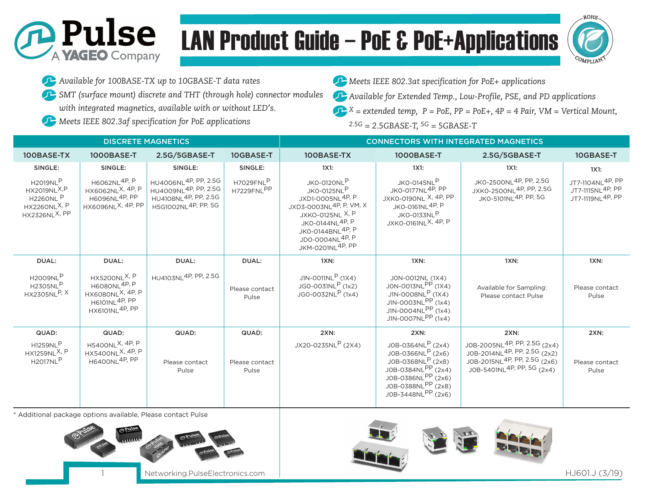# LAN Product Guide – PoE & PoE+Applications



*Available for 100BASE-TX up to 10GBASE-T data rates*

**D** Pulse

A **YAGEO** Company

*SMT (surface mount) discrete and THT (through hole) connector modules with integrated magnetics, available with or without LED's.*

*Meets IEEE 802.3af specification for PoE applications*

*Meets IEEE 802.3at specification for PoE+ applications*

*Available for Extended Temp., Low-Profile, PSE, and PD applications*

*X = extended temp, P = PoE, PP = PoE+, 4P = 4 Pair, VM = Vertical Mount,* æ *2.5G = 2.5GBASE-T, 5G = 5GBASE-T*

| <b>DISCRETE MAGNETICS</b>                                                                                                      |                                                                                                                                             |                                                                                                                                             |                         | <b>CONNECTORS WITH INTEGRATED MAGNETICS</b>                                                                                                                                                                |                                                                                                                                                                             |                                                                                                                                                                            |                                                                      |
|--------------------------------------------------------------------------------------------------------------------------------|---------------------------------------------------------------------------------------------------------------------------------------------|---------------------------------------------------------------------------------------------------------------------------------------------|-------------------------|------------------------------------------------------------------------------------------------------------------------------------------------------------------------------------------------------------|-----------------------------------------------------------------------------------------------------------------------------------------------------------------------------|----------------------------------------------------------------------------------------------------------------------------------------------------------------------------|----------------------------------------------------------------------|
| 100BASE-TX                                                                                                                     | 1000BASE-T                                                                                                                                  | 2.5G/5GBASE-T                                                                                                                               | 10GBASE-T               | 100BASE-TX                                                                                                                                                                                                 | 1000BASE-T                                                                                                                                                                  | 2.5G/5GBASE-T                                                                                                                                                              | 10GBASE-T                                                            |
| SINGLE:                                                                                                                        | SINGLE:                                                                                                                                     | SINGLE:                                                                                                                                     | SINGLE:                 | 1X1:                                                                                                                                                                                                       | 1X1:                                                                                                                                                                        | 1X1:                                                                                                                                                                       | 1X1:                                                                 |
| <b>H2019NLP</b><br><b>HX2019NL<sup>X,P</sup></b><br><b>H226ONL</b> P<br><b>HX226ONL<sup>X, P</sup></b><br><b>HX2326NLX, PP</b> | H6062NL4P, P<br>HX6062NL <sup>X, 4P, P</sup><br>H6096NL <sup>4P, PP</sup><br>HX6096NL <sup>X, 4P, PP</sup>                                  | HU4006NL <sup>4P, PP, 2.5G</sup><br>HU4009NL <sup>4P, PP, 2.5G</sup><br>HU4108NL <sup>4P, PP, 2.5G</sup><br>H5G1002NL <sup>4P, PP, 5G</sup> | H7029FNLP<br>H7229FNLPP | JKO-0120NLP<br><b>JKO-0125NLP</b><br>JXD1-0005NL4P, P<br>JXD3-0003NL4P, P, VM, X<br>JXKO-0125NL X, P<br>JK0-0144NL <sup>4P, P</sup><br>JK0-0144BNL <sup>4P, P</sup><br>JD0-0004NL4P, P<br>JKM-0201NL4P, PP | JKO-0145NLP<br>JKO-0177NL4P, PP<br>JXKO-0190NL X, 4P, PP<br>JKO-0161NL <sup>4P, P</sup><br>JKO-0133NLP<br>JXKO-0161NL <sup>X, 4P, P</sup>                                   | JK0-2500NL4P, PP, 2.5G<br>JXKO-2500NL <sup>4P, PP, 2.5G</sup><br>JKO-5101NL <sup>4P, PP, 5G</sup>                                                                          | JT7-1104NL <sup>4P, PP</sup><br>JT7-1115NL4P, PP<br>JT7-1119NL4P, PP |
| DUAL:                                                                                                                          | DUAL:                                                                                                                                       | DUAL:                                                                                                                                       | DUAL:                   | 1XN:                                                                                                                                                                                                       | $1XN$ :                                                                                                                                                                     | 1XN:                                                                                                                                                                       | 1XN:                                                                 |
| <b>H2009NLP</b><br><b>H2305NLP</b><br><b>HX2305NLP, X</b>                                                                      | <b>HX5200NL<sup>X, P</sup></b><br><b>H6080NL4P, P</b><br>HX6080NL <sup>X, 4P, P</sup><br>H6101NL <sup>4P, PP</sup><br><b>HX6101NL4P, PP</b> | HU4103NL <sup>4P, PP, 2.5G</sup>                                                                                                            | Please contact<br>Pulse | J1N-0011NL <sup>P</sup> (1X4)<br>$JGO-OO31NLP$ (1x2)<br>JGO-0032NLP (1x4)                                                                                                                                  | JON-0012NL (1X4)<br>JON-0013NLPP (1X4)<br>J1N-0008NL <sup>P</sup> (1X4)<br>$J1N-0003NL$ <sup>PP</sup> (1x4)<br>J1N-0004NLPP (1x4)<br>J1N-0007NLPP (1x4)                     | Available for Sampling:<br>Please contact Pulse                                                                                                                            | Please contact<br>Pulse                                              |
| QUAD:                                                                                                                          | QUAD:                                                                                                                                       | QUAD:                                                                                                                                       | QUAD:                   | 2XN:                                                                                                                                                                                                       | <b>2XN:</b>                                                                                                                                                                 | <b>2XN:</b>                                                                                                                                                                | <b>2XN:</b>                                                          |
| <b>H1259NLP</b><br>HX1259NL <sup>X, P</sup><br><b>H2017NLP</b>                                                                 | H5400NL <sup>X, 4P, P</sup><br>HX5400NL <sup>X, 4P, P</sup><br><b>H6400NL4P, PP</b>                                                         | Please contact<br>Pulse                                                                                                                     | Please contact<br>Pulse | JX20-0235NLP (2X4)                                                                                                                                                                                         | J0B-0364NL <sup>P</sup> (2x4)<br>J0B-0366NL <sup>P</sup> (2x6)<br>J0B-0368NLP (2x8)<br>J0B-0384NLPP (2x4)<br>J0B-0386NLPP (2x6)<br>J0B-0388NLPP (2x8)<br>J0B-3448NLPP (2x6) | J0B-2005NL <sup>4P, PP, 2.5G</sup> (2x4)<br>J0B-2014NL <sup>4P, PP, 2.5G</sup> (2x2)<br>J0B-2015NL <sup>4P, PP, 2.5G</sup> (2x6)<br>J0B-5401NL <sup>4P, PP, 5G</sup> (2x4) | Please contact<br>Pulse                                              |

\* Additional package options available, Please contact Pulse





Networking.PulseElectronics.com | Networking.PulseElectronics.com | HJ601.J (3/19)